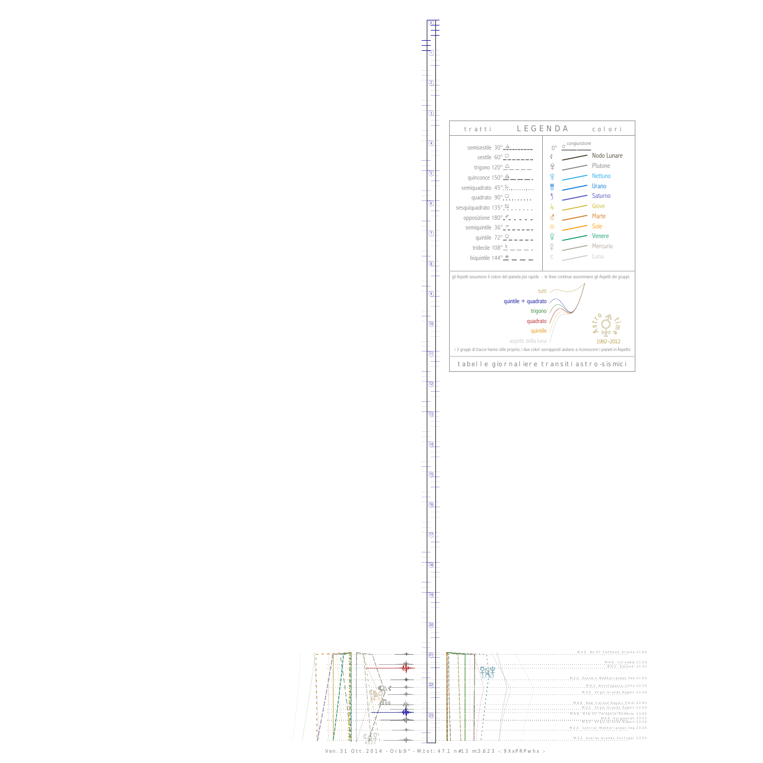$\begin{picture}(220,20) \put(0,0){\line(1,0){10}} \put(15,0){\line(1,0){10}} \put(15,0){\line(1,0){10}} \put(15,0){\line(1,0){10}} \put(15,0){\line(1,0){10}} \put(15,0){\line(1,0){10}} \put(15,0){\line(1,0){10}} \put(15,0){\line(1,0){10}} \put(15,0){\line(1,0){10}} \put(15,0){\line(1,0){10}} \put(15,0){\line(1,0){10}} \put(15,0){\line($